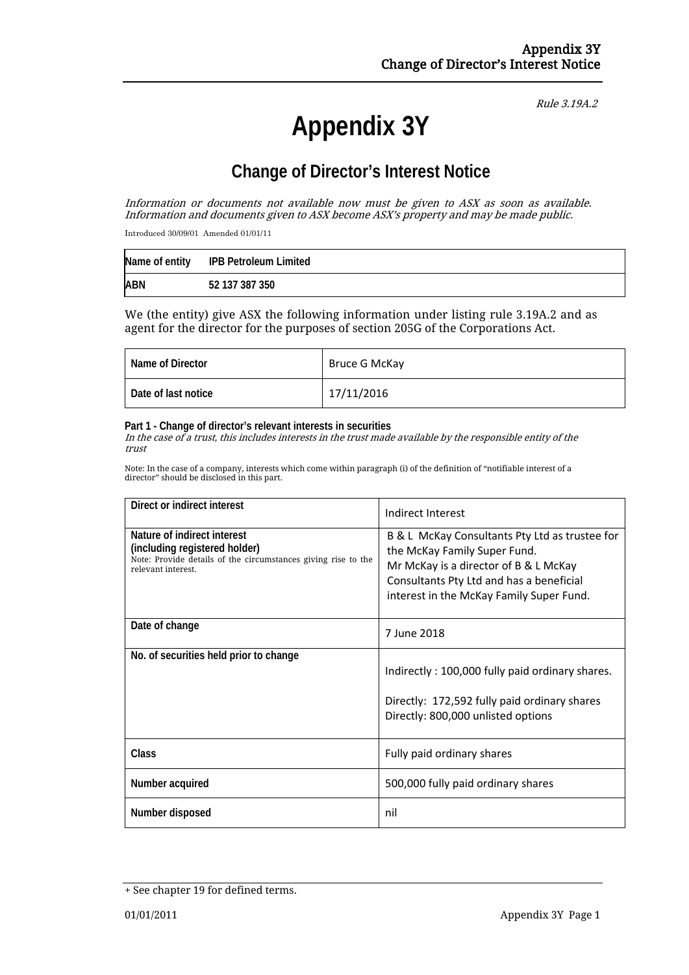# Rule 3.19A.2

# **Appendix 3Y**

# **Change of Director's Interest Notice**

Information or documents not available now must be given to ASX as soon as available. Information and documents given to ASX become ASX's property and may be made public.

Introduced 30/09/01 Amended 01/01/11

|            | Name of entity IPB Petroleum Limited |
|------------|--------------------------------------|
| <b>ABN</b> | 52 137 387 350                       |

We (the entity) give ASX the following information under listing rule 3.19A.2 and as agent for the director for the purposes of section 205G of the Corporations Act.

| Name of Director    | Bruce G McKay |
|---------------------|---------------|
| Date of last notice | 17/11/2016    |

#### **Part 1 - Change of director's relevant interests in securities**

In the case of a trust, this includes interests in the trust made available by the responsible entity of the trust

Note: In the case of a company, interests which come within paragraph (i) of the definition of "notifiable interest of a director" should be disclosed in this part.

| Direct or indirect interest                                                                                                                         | Indirect Interest                                                                                                                                                                                               |  |
|-----------------------------------------------------------------------------------------------------------------------------------------------------|-----------------------------------------------------------------------------------------------------------------------------------------------------------------------------------------------------------------|--|
| Nature of indirect interest<br>(including registered holder)<br>Note: Provide details of the circumstances giving rise to the<br>relevant interest. | B & L McKay Consultants Pty Ltd as trustee for<br>the McKay Family Super Fund.<br>Mr McKay is a director of B & L McKay<br>Consultants Pty Ltd and has a beneficial<br>interest in the McKay Family Super Fund. |  |
| Date of change                                                                                                                                      | 7 June 2018                                                                                                                                                                                                     |  |
| No. of securities held prior to change                                                                                                              | Indirectly: 100,000 fully paid ordinary shares.<br>Directly: 172,592 fully paid ordinary shares<br>Directly: 800,000 unlisted options                                                                           |  |
| <b>Class</b>                                                                                                                                        | Fully paid ordinary shares                                                                                                                                                                                      |  |
| Number acquired                                                                                                                                     | 500,000 fully paid ordinary shares                                                                                                                                                                              |  |
| Number disposed                                                                                                                                     | nil                                                                                                                                                                                                             |  |

<sup>+</sup> See chapter 19 for defined terms.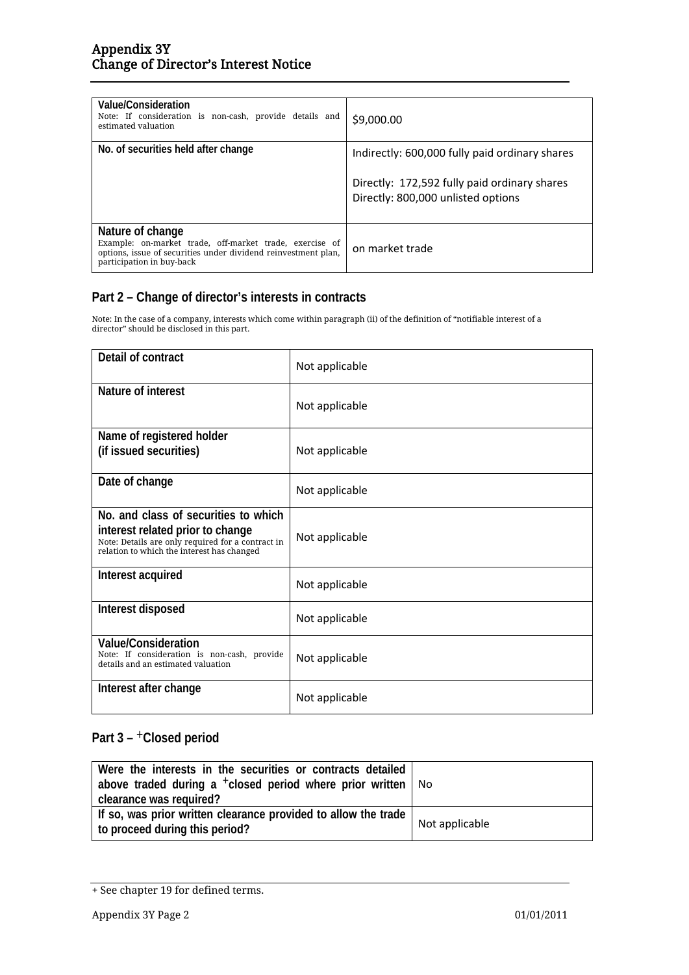| Value/Consideration<br>Note: If consideration is non-cash, provide details and<br>estimated valuation                                                                      | \$9,000.00                                                                         |  |  |  |
|----------------------------------------------------------------------------------------------------------------------------------------------------------------------------|------------------------------------------------------------------------------------|--|--|--|
| No. of securities held after change                                                                                                                                        | Indirectly: 600,000 fully paid ordinary shares                                     |  |  |  |
|                                                                                                                                                                            | Directly: 172,592 fully paid ordinary shares<br>Directly: 800,000 unlisted options |  |  |  |
| Nature of change<br>Example: on-market trade, off-market trade, exercise of<br>options, issue of securities under dividend reinvestment plan,<br>participation in buy-back | on market trade                                                                    |  |  |  |

### **Part 2 – Change of director's interests in contracts**

Note: In the case of a company, interests which come within paragraph (ii) of the definition of "notifiable interest of a director" should be disclosed in this part.

| Detail of contract                                                                                                                                                          | Not applicable |
|-----------------------------------------------------------------------------------------------------------------------------------------------------------------------------|----------------|
| Nature of interest                                                                                                                                                          | Not applicable |
| Name of registered holder<br>(if issued securities)                                                                                                                         | Not applicable |
| Date of change                                                                                                                                                              | Not applicable |
| No. and class of securities to which<br>interest related prior to change<br>Note: Details are only required for a contract in<br>relation to which the interest has changed | Not applicable |
| Interest acquired                                                                                                                                                           | Not applicable |
| Interest disposed                                                                                                                                                           | Not applicable |
| Value/Consideration<br>Note: If consideration is non-cash, provide<br>details and an estimated valuation                                                                    | Not applicable |
| Interest after change                                                                                                                                                       | Not applicable |

## **Part 3 –** +**Closed period**

| Were the interests in the securities or contracts detailed<br>above traded during a <sup>+</sup> closed period where prior written<br>clearance was required? | No             |
|---------------------------------------------------------------------------------------------------------------------------------------------------------------|----------------|
| If so, was prior written clearance provided to allow the trade<br>to proceed during this period?                                                              | Not applicable |

<sup>+</sup> See chapter 19 for defined terms.